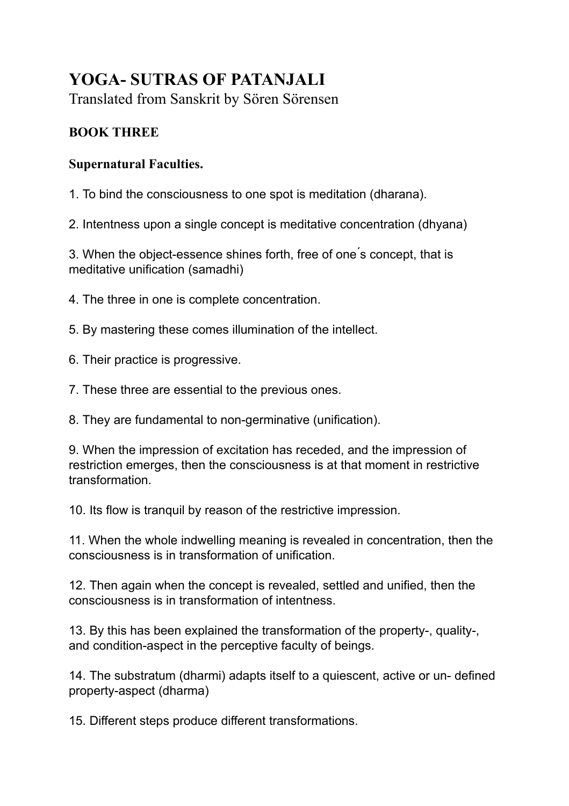## **YOGA- SUTRAS OF PATANJALI**

Translated from Sanskrit by Sören Sörensen

## **BOOK THREE**

## **Supernatural Faculties.**

1. To bind the consciousness to one spot is meditation (dharana).

2. Intentness upon a single concept is meditative concentration (dhyana)

3. When the object-essence shines forth, free of one ́s concept, that is meditative unification (samadhi)

4. The three in one is complete concentration.

5. By mastering these comes illumination of the intellect.

6. Their practice is progressive.

7. These three are essential to the previous ones.

8. They are fundamental to non-germinative (unification).

9. When the impression of excitation has receded, and the impression of restriction emerges, then the consciousness is at that moment in restrictive transformation.

10. Its flow is tranquil by reason of the restrictive impression.

11. When the whole indwelling meaning is revealed in concentration, then the consciousness is in transformation of unification.

12. Then again when the concept is revealed, settled and unified, then the consciousness is in transformation of intentness.

13. By this has been explained the transformation of the property-, quality-, and condition-aspect in the perceptive faculty of beings.

14. The substratum (dharmi) adapts itself to a quiescent, active or un- defined property-aspect (dharma)

15. Different steps produce different transformations.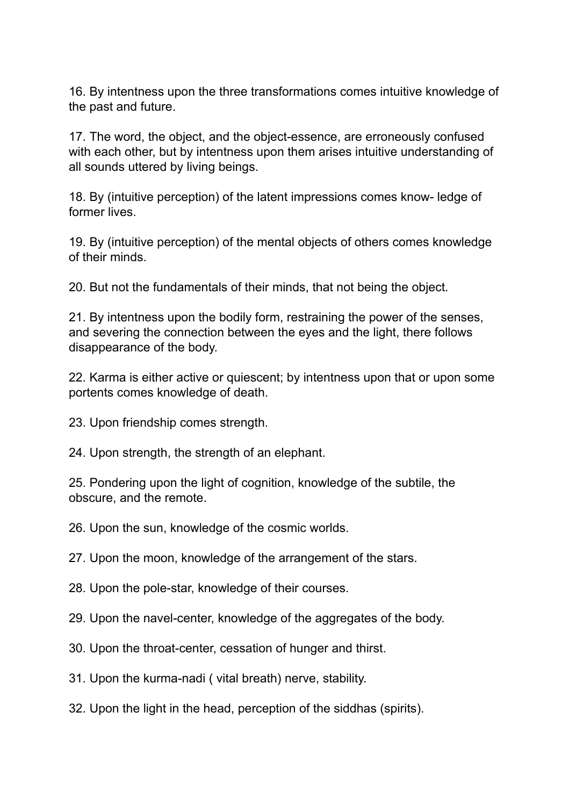16. By intentness upon the three transformations comes intuitive knowledge of the past and future.

17. The word, the object, and the object-essence, are erroneously confused with each other, but by intentness upon them arises intuitive understanding of all sounds uttered by living beings.

18. By (intuitive perception) of the latent impressions comes know- ledge of former lives.

19. By (intuitive perception) of the mental objects of others comes knowledge of their minds.

20. But not the fundamentals of their minds, that not being the object.

21. By intentness upon the bodily form, restraining the power of the senses, and severing the connection between the eyes and the light, there follows disappearance of the body.

22. Karma is either active or quiescent; by intentness upon that or upon some portents comes knowledge of death.

23. Upon friendship comes strength.

24. Upon strength, the strength of an elephant.

25. Pondering upon the light of cognition, knowledge of the subtile, the obscure, and the remote.

26. Upon the sun, knowledge of the cosmic worlds.

27. Upon the moon, knowledge of the arrangement of the stars.

28. Upon the pole-star, knowledge of their courses.

29. Upon the navel-center, knowledge of the aggregates of the body.

30. Upon the throat-center, cessation of hunger and thirst.

31. Upon the kurma-nadi ( vital breath) nerve, stability.

32. Upon the light in the head, perception of the siddhas (spirits).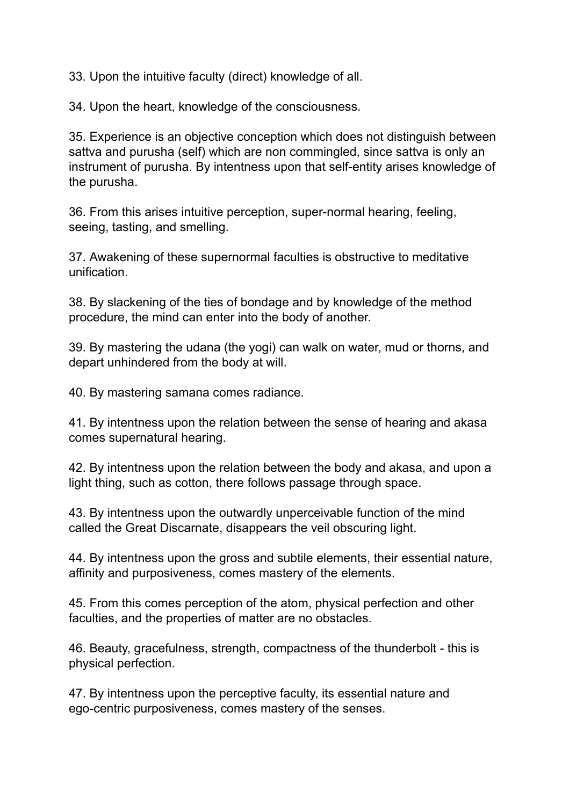33. Upon the intuitive faculty (direct) knowledge of all.

34. Upon the heart, knowledge of the consciousness.

35. Experience is an objective conception which does not distinguish between sattva and purusha (self) which are non commingled, since sattva is only an instrument of purusha. By intentness upon that self-entity arises knowledge of the purusha.

36. From this arises intuitive perception, super-normal hearing, feeling, seeing, tasting, and smelling.

37. Awakening of these supernormal faculties is obstructive to meditative unification.

38. By slackening of the ties of bondage and by knowledge of the method procedure, the mind can enter into the body of another.

39. By mastering the udana (the yogi) can walk on water, mud or thorns, and depart unhindered from the body at will.

40. By mastering samana comes radiance.

41. By intentness upon the relation between the sense of hearing and akasa comes supernatural hearing.

42. By intentness upon the relation between the body and akasa, and upon a light thing, such as cotton, there follows passage through space.

43. By intentness upon the outwardly unperceivable function of the mind called the Great Discarnate, disappears the veil obscuring light.

44. By intentness upon the gross and subtile elements, their essential nature, affinity and purposiveness, comes mastery of the elements.

45. From this comes perception of the atom, physical perfection and other faculties, and the properties of matter are no obstacles.

46. Beauty, gracefulness, strength, compactness of the thunderbolt - this is physical perfection.

47. By intentness upon the perceptive faculty, its essential nature and ego-centric purposiveness, comes mastery of the senses.